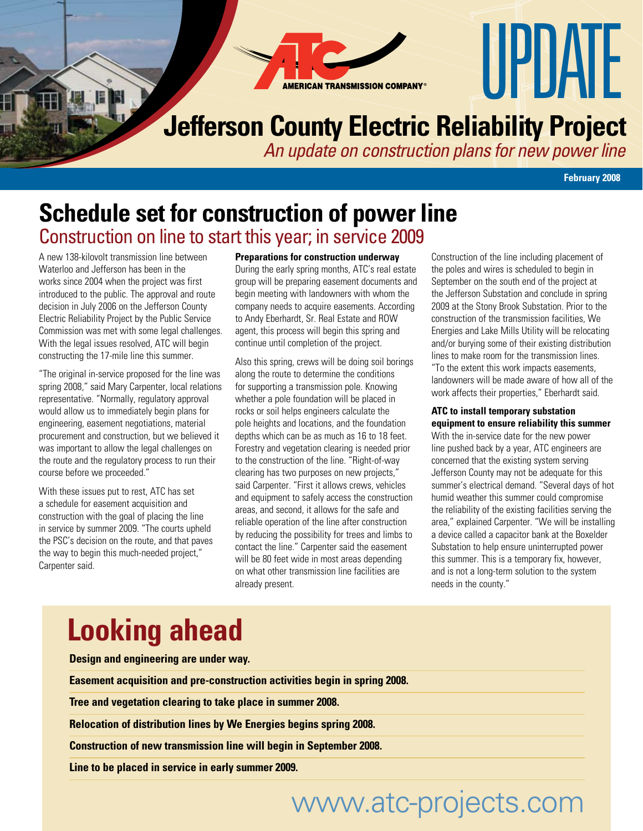**AMERICAN TRANSMISSION COMPANY** 

## **Jefferson County Electric Reliability Project**

*An update on construction plans for new power line*

**February 2008**

UPIJAIF

#### **Schedule set for construction of power line** Construction on line to start this year; in service 2009

A new 138-kilovolt transmission line between Waterloo and Jefferson has been in the works since 2004 when the project was first introduced to the public. The approval and route decision in July 2006 on the Jefferson County Electric Reliability Project by the Public Service Commission was met with some legal challenges. With the legal issues resolved, ATC will begin constructing the 17-mile line this summer.

"The original in-service proposed for the line was spring 2008," said Mary Carpenter, local relations representative. "Normally, regulatory approval would allow us to immediately begin plans for engineering, easement negotiations, material procurement and construction, but we believed it was important to allow the legal challenges on the route and the regulatory process to run their course before we proceeded."

With these issues put to rest, ATC has set a schedule for easement acquisition and construction with the goal of placing the line in service by summer 2009. "The courts upheld the PSC's decision on the route, and that paves the way to begin this much-needed project," Carpenter said.

**Preparations for construction underway** During the early spring months, ATC's real estate group will be preparing easement documents and begin meeting with landowners with whom the company needs to acquire easements. According to Andy Eberhardt, Sr. Real Estate and ROW agent, this process will begin this spring and continue until completion of the project.

Also this spring, crews will be doing soil borings along the route to determine the conditions for supporting a transmission pole. Knowing whether a pole foundation will be placed in rocks or soil helps engineers calculate the pole heights and locations, and the foundation depths which can be as much as 16 to 18 feet. Forestry and vegetation clearing is needed prior to the construction of the line. "Right-of-way clearing has two purposes on new projects," said Carpenter. "First it allows crews, vehicles and equipment to safely access the construction areas, and second, it allows for the safe and reliable operation of the line after construction by reducing the possibility for trees and limbs to contact the line." Carpenter said the easement will be 80 feet wide in most areas depending on what other transmission line facilities are already present.

Construction of the line including placement of the poles and wires is scheduled to begin in September on the south end of the project at the Jefferson Substation and conclude in spring 2009 at the Stony Brook Substation. Prior to the construction of the transmission facilities, We Energies and Lake Mills Utility will be relocating and/or burying some of their existing distribution lines to make room for the transmission lines. "To the extent this work impacts easements, landowners will be made aware of how all of the work affects their properties," Eberhardt said.

#### **ATC to install temporary substation equipment to ensure reliability this summer**

With the in-service date for the new power line pushed back by a year, ATC engineers are concerned that the existing system serving Jefferson County may not be adequate for this summer's electrical demand. "Several days of hot humid weather this summer could compromise the reliability of the existing facilities serving the area," explained Carpenter. "We will be installing a device called a capacitor bank at the Boxelder Substation to help ensure uninterrupted power this summer. This is a temporary fix, however, and is not a long-term solution to the system needs in the county."

# **Looking ahead**

**Design and engineering are under way.**

**Easement acquisition and pre-construction activities begin in spring 2008.**

**Tree and vegetation clearing to take place in summer 2008.**

**Relocation of distribution lines by We Energies begins spring 2008.**

**Construction of new transmission line will begin in September 2008.**

**Line to be placed in service in early summer 2009.**

# www.atc-projects.com